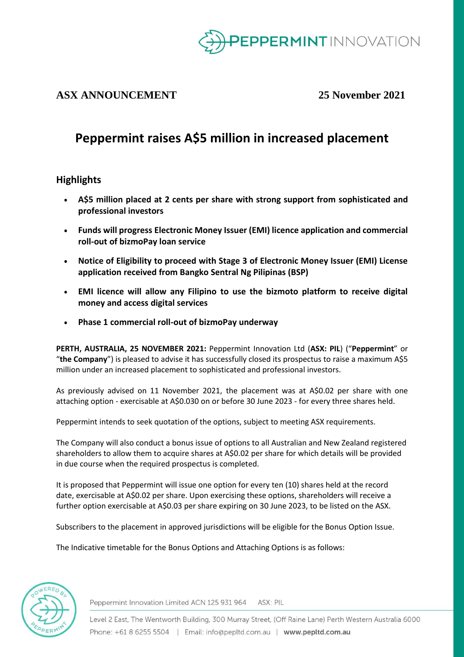

## **ASX ANNOUNCEMENT 25 November 2021**

# **Peppermint raises A\$5 million in increased placement**

## **Highlights**

- **A\$5 million placed at 2 cents per share with strong support from sophisticated and professional investors**
- **Funds will progress Electronic Money Issuer (EMI) licence application and commercial roll-out of bizmoPay loan service**
- **Notice of Eligibility to proceed with Stage 3 of Electronic Money Issuer (EMI) License application received from Bangko Sentral Ng Pilipinas (BSP)**
- **EMI licence will allow any Filipino to use the bizmoto platform to receive digital money and access digital services**
- **Phase 1 commercial roll-out of bizmoPay underway**

**PERTH, AUSTRALIA, 25 NOVEMBER 2021:** Peppermint Innovation Ltd (**ASX: PIL**) ("**Peppermint**" or "**the Company**") is pleased to advise it has successfully closed its prospectus to raise a maximum A\$5 million under an increased placement to sophisticated and professional investors.

As previously advised on 11 November 2021, the placement was at A\$0.02 per share with one attaching option - exercisable at A\$0.030 on or before 30 June 2023 - for every three shares held.

Peppermint intends to seek quotation of the options, subject to meeting ASX requirements.

The Company will also conduct a bonus issue of options to all Australian and New Zealand registered shareholders to allow them to acquire shares at A\$0.02 per share for which details will be provided in due course when the required prospectus is completed.

It is proposed that Peppermint will issue one option for every ten (10) shares held at the record date, exercisable at A\$0.02 per share. Upon exercising these options, shareholders will receive a further option exercisable at A\$0.03 per share expiring on 30 June 2023, to be listed on the ASX.

Subscribers to the placement in approved jurisdictions will be eligible for the Bonus Option Issue.

The Indicative timetable for the Bonus Options and Attaching Options is as follows:



Peppermint Innovation Limited ACN 125 931 964 ASX: PIL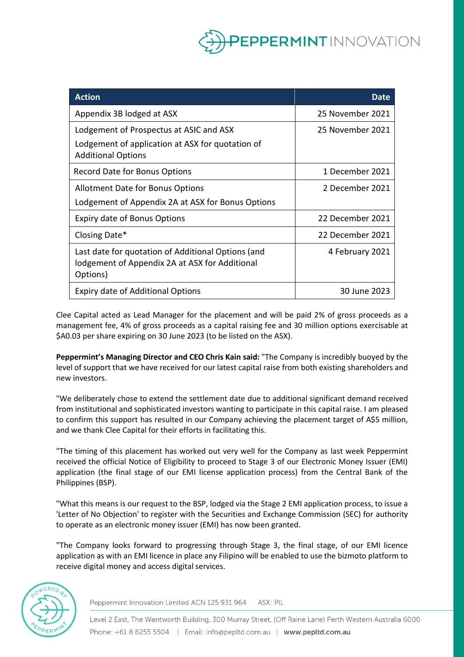

| <b>Action</b>                                                                                                            | Date             |
|--------------------------------------------------------------------------------------------------------------------------|------------------|
| Appendix 3B lodged at ASX                                                                                                | 25 November 2021 |
| Lodgement of Prospectus at ASIC and ASX<br>Lodgement of application at ASX for quotation of<br><b>Additional Options</b> | 25 November 2021 |
| Record Date for Bonus Options                                                                                            | 1 December 2021  |
| <b>Allotment Date for Bonus Options</b><br>Lodgement of Appendix 2A at ASX for Bonus Options                             | 2 December 2021  |
| <b>Expiry date of Bonus Options</b>                                                                                      | 22 December 2021 |
| Closing Date*                                                                                                            | 22 December 2021 |
| Last date for quotation of Additional Options (and<br>lodgement of Appendix 2A at ASX for Additional<br>Options)         | 4 February 2021  |
| <b>Expiry date of Additional Options</b>                                                                                 | 30 June 2023     |

Clee Capital acted as Lead Manager for the placement and will be paid 2% of gross proceeds as a management fee, 4% of gross proceeds as a capital raising fee and 30 million options exercisable at \$A0.03 per share expiring on 30 June 2023 (to be listed on the ASX).

**Peppermint's Managing Director and CEO Chris Kain said:** "The Company is incredibly buoyed by the level of support that we have received for our latest capital raise from both existing shareholders and new investors.

"We deliberately chose to extend the settlement date due to additional significant demand received from institutional and sophisticated investors wanting to participate in this capital raise. I am pleased to confirm this support has resulted in our Company achieving the placement target of A\$5 million, and we thank Clee Capital for their efforts in facilitating this.

"The timing of this placement has worked out very well for the Company as last week Peppermint received the official Notice of Eligibility to proceed to Stage 3 of our Electronic Money Issuer (EMI) application (the final stage of our EMI license application process) from the Central Bank of the Philippines (BSP).

"What this means is our request to the BSP, lodged via the Stage 2 EMI application process, to issue a 'Letter of No Objection' to register with the Securities and Exchange Commission (SEC) for authority to operate as an electronic money issuer (EMI) has now been granted.

"The Company looks forward to progressing through Stage 3, the final stage, of our EMI licence application as with an EMI licence in place any Filipino will be enabled to use the bizmoto platform to receive digital money and access digital services.



Peppermint Innovation Limited ACN 125 931 964 ASX: PIL

Level 2 East, The Wentworth Building, 300 Murray Street, (Off Raine Lane) Perth Western Australia 6000 Phone: +61 8 6255 5504 | Email: info@pepltd.com.au | www.pepltd.com.au